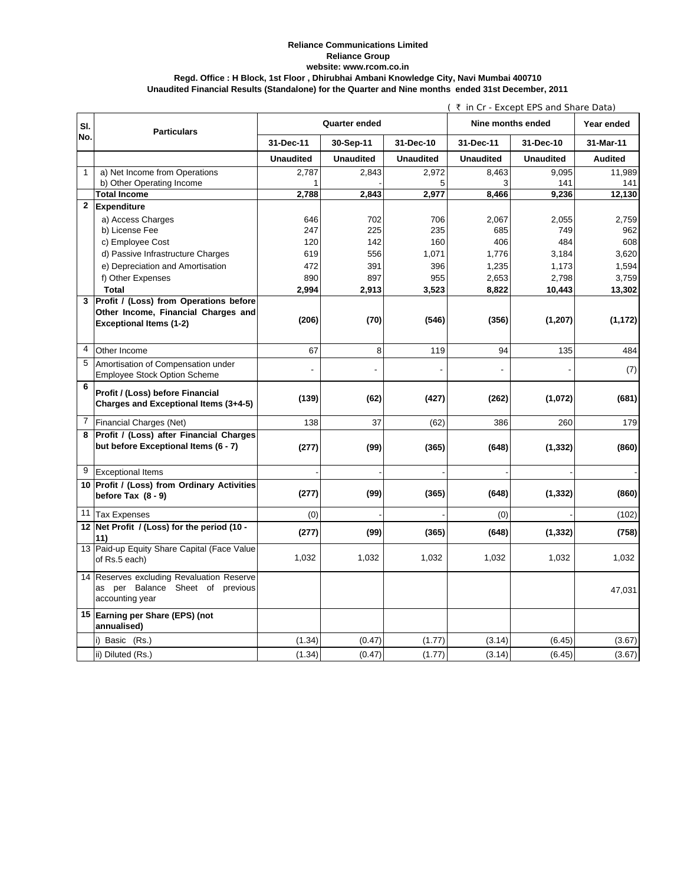## **Reliance Communications Limited Reliance Group Regd. Office : H Block, 1st Floor , Dhirubhai Ambani Knowledge City, Navi Mumbai 400710 Unaudited Financial Results (Standalone) for the Quarter and Nine months ended 31st December, 2011 website: www.rcom.co.in**

|                |                                               | (₹ in Cr - Except EPS and Share Data) |                  |                  |                   |                  |                |
|----------------|-----------------------------------------------|---------------------------------------|------------------|------------------|-------------------|------------------|----------------|
| SI.            | <b>Particulars</b>                            | Quarter ended                         |                  |                  | Nine months ended |                  | Year ended     |
| No.            |                                               | 31-Dec-11                             | 30-Sep-11        | 31-Dec-10        | 31-Dec-11         | 31-Dec-10        | 31-Mar-11      |
|                |                                               | <b>Unaudited</b>                      | <b>Unaudited</b> | <b>Unaudited</b> | <b>Unaudited</b>  | <b>Unaudited</b> | <b>Audited</b> |
| $\mathbf{1}$   | a) Net Income from Operations                 | 2,787                                 | 2,843            | 2,972            | 8,463             | 9,095            | 11,989         |
|                | b) Other Operating Income                     |                                       |                  | 5                | 3                 | 141              | 141            |
|                | <b>Total Income</b>                           | 2,788                                 | 2,843            | 2,977            | 8,466             | 9,236            | 12,130         |
| $\mathbf{2}$   | <b>Expenditure</b>                            |                                       |                  |                  |                   |                  |                |
|                | a) Access Charges                             | 646                                   | 702              | 706              | 2,067             | 2,055            | 2,759          |
|                | b) License Fee                                | 247                                   | 225              | 235              | 685               | 749              | 962            |
|                | c) Employee Cost                              | 120                                   | 142              | 160              | 406               | 484              | 608            |
|                | d) Passive Infrastructure Charges             | 619                                   | 556              | 1,071            | 1,776             | 3,184            | 3,620          |
|                | e) Depreciation and Amortisation              | 472                                   | 391              | 396              | 1,235             | 1,173            | 1,594          |
|                | f) Other Expenses                             | 890                                   | 897              | 955              | 2,653             | 2,798            | 3,759          |
|                | <b>Total</b>                                  | 2,994                                 | 2,913            | 3,523            | 8,822             | 10,443           | 13,302         |
| 3              | <b>Profit / (Loss) from Operations before</b> |                                       |                  |                  |                   |                  |                |
|                | Other Income, Financial Charges and           |                                       |                  |                  |                   |                  |                |
|                | <b>Exceptional Items (1-2)</b>                | (206)                                 | (70)             | (546)            | (356)             | (1, 207)         | (1, 172)       |
|                |                                               |                                       |                  |                  |                   |                  |                |
| $\overline{4}$ | Other Income                                  | 67                                    | 8                | 119              | 94                | 135              | 484            |
| 5              | Amortisation of Compensation under            |                                       |                  |                  |                   |                  |                |
|                | <b>Employee Stock Option Scheme</b>           |                                       |                  |                  |                   |                  | (7)            |
| 6              |                                               |                                       |                  |                  |                   |                  |                |
|                | Profit / (Loss) before Financial              | (139)                                 | (62)             | (427)            | (262)             | (1,072)          | (681)          |
|                | Charges and Exceptional Items (3+4-5)         |                                       |                  |                  |                   |                  |                |
| $\overline{7}$ | Financial Charges (Net)                       | 138                                   | 37               | (62)             | 386               | 260              | 179            |
| 8              | Profit / (Loss) after Financial Charges       |                                       |                  |                  |                   |                  |                |
|                | but before Exceptional Items (6 - 7)          | (277)                                 | (99)             | (365)            | (648)             | (1, 332)         | (860)          |
|                |                                               |                                       |                  |                  |                   |                  |                |
| 9              | <b>Exceptional Items</b>                      |                                       |                  |                  |                   |                  |                |
|                | 10 Profit / (Loss) from Ordinary Activities   |                                       |                  |                  |                   |                  |                |
|                | before Tax $(8 - 9)$                          | (277)                                 | (99)             | (365)            | (648)             | (1, 332)         | (860)          |
|                | 11 Tax Expenses                               | (0)                                   |                  |                  | (0)               |                  | (102)          |
|                | 12 Net Profit / (Loss) for the period (10 -   |                                       |                  |                  |                   |                  |                |
|                | 11)                                           | (277)                                 | (99)             | (365)            | (648)             | (1, 332)         | (758)          |
|                | 13 Paid-up Equity Share Capital (Face Value   |                                       |                  |                  |                   |                  |                |
|                | of Rs.5 each)                                 | 1,032                                 | 1,032            | 1,032            | 1,032             | 1,032            | 1,032          |
| 14             | Reserves excluding Revaluation Reserve        |                                       |                  |                  |                   |                  |                |
|                | as per Balance Sheet of previous              |                                       |                  |                  |                   |                  |                |
|                | accounting year                               |                                       |                  |                  |                   |                  | 47,031         |
|                |                                               |                                       |                  |                  |                   |                  |                |
|                | 15 Earning per Share (EPS) (not               |                                       |                  |                  |                   |                  |                |
|                | annualised)                                   |                                       |                  |                  |                   |                  |                |
|                | i) Basic (Rs.)                                | (1.34)                                | (0.47)           | (1.77)           | (3.14)            | (6.45)           | (3.67)         |
|                | ii) Diluted (Rs.)                             | (1.34)                                | (0.47)           | (1.77)           | (3.14)            | (6.45)           | (3.67)         |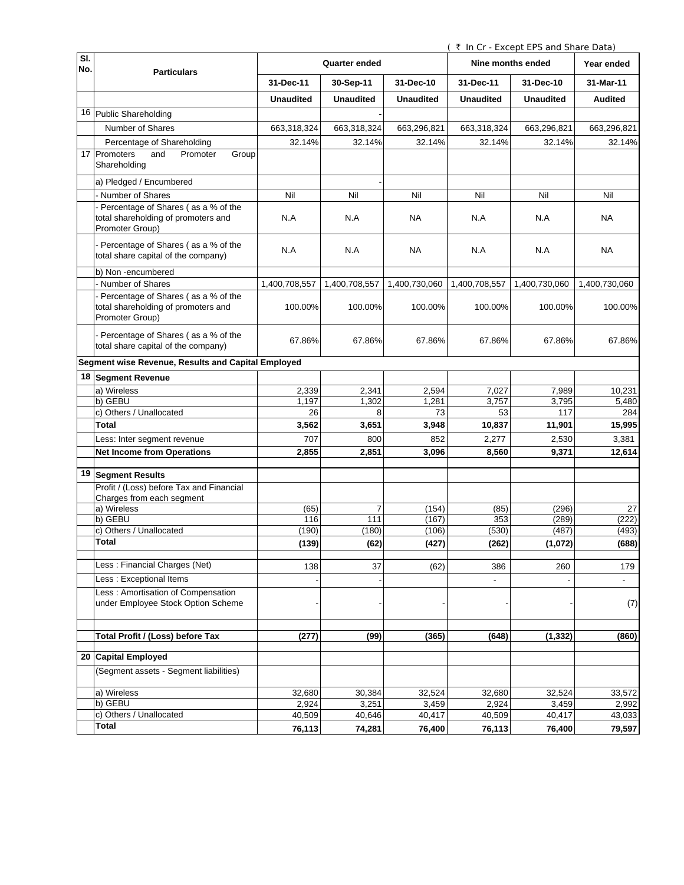( ₹ In Cr - Except EPS and Share Data)

| SI.<br>No. |                                                                                                 | Quarter ended    |                  |                  | Nine months ended |                  | Year ended     |
|------------|-------------------------------------------------------------------------------------------------|------------------|------------------|------------------|-------------------|------------------|----------------|
|            | <b>Particulars</b>                                                                              | 31-Dec-11        | 30-Sep-11        | 31-Dec-10        | 31-Dec-11         | 31-Dec-10        | 31-Mar-11      |
|            |                                                                                                 | <b>Unaudited</b> | <b>Unaudited</b> | <b>Unaudited</b> | <b>Unaudited</b>  | <b>Unaudited</b> | <b>Audited</b> |
|            | 16 Public Shareholding                                                                          |                  |                  |                  |                   |                  |                |
|            | Number of Shares                                                                                | 663,318,324      | 663,318,324      | 663,296,821      | 663,318,324       | 663,296,821      | 663,296,821    |
|            | Percentage of Shareholding                                                                      | 32.14%           | 32.14%           | 32.14%           | 32.14%            | 32.14%           | 32.14%         |
|            | 17 Promoters<br>and<br>Promoter<br>Group<br>Shareholding                                        |                  |                  |                  |                   |                  |                |
|            | a) Pledged / Encumbered                                                                         |                  |                  |                  |                   |                  |                |
|            | - Number of Shares                                                                              | Nil              | Nil              | Nil              | Nil               | Nil              | Nil            |
|            | - Percentage of Shares (as a % of the<br>total shareholding of promoters and<br>Promoter Group) | N.A              | N.A              | <b>NA</b>        | N.A               | N.A              | <b>NA</b>      |
|            | - Percentage of Shares (as a % of the<br>total share capital of the company)                    | N.A              | N.A              | NA               | N.A               | N.A              | <b>NA</b>      |
|            | b) Non -encumbered                                                                              |                  |                  |                  |                   |                  |                |
|            | - Number of Shares                                                                              | 1,400,708,557    | 1,400,708,557    | 1,400,730,060    | 1,400,708,557     | 1,400,730,060    | 1,400,730,060  |
|            | - Percentage of Shares (as a % of the<br>total shareholding of promoters and<br>Promoter Group) | 100.00%          | 100.00%          | 100.00%          | 100.00%           | 100.00%          | 100.00%        |
|            | - Percentage of Shares (as a % of the<br>total share capital of the company)                    | 67.86%           | 67.86%           | 67.86%           | 67.86%            | 67.86%           | 67.86%         |
|            | Segment wise Revenue, Results and Capital Employed                                              |                  |                  |                  |                   |                  |                |
|            | 18 Segment Revenue                                                                              |                  |                  |                  |                   |                  |                |
|            | a) Wireless                                                                                     | 2,339            | 2,341            | 2,594            | 7,027             | 7,989            | 10,231         |
|            | b) GEBU                                                                                         | 1,197            | 1,302            | 1,281            | 3,757             | 3,795            | 5,480          |
|            | c) Others / Unallocated                                                                         | 26               | 8                | 73               | 53                | 117              | 284            |
|            | Total                                                                                           | 3,562            | 3,651            | 3,948            | 10,837            | 11,901           | 15,995         |
|            | Less: Inter segment revenue                                                                     | 707              | 800              | 852              | 2,277             | 2,530            | 3,381          |
|            | <b>Net Income from Operations</b>                                                               | 2,855            | 2,851            | 3,096            | 8,560             | 9,371            | 12,614         |
|            | 19 Segment Results                                                                              |                  |                  |                  |                   |                  |                |
|            | Profit / (Loss) before Tax and Financial<br>Charges from each segment                           |                  |                  |                  |                   |                  |                |
|            | a) Wireless                                                                                     | (65)             | $\overline{7}$   | (154)            | (85)              | (296)            | 27             |
|            | b) GEBU                                                                                         | 116              | 111              | (167)            | 353               | (289)            | (222)          |
|            | c) Others / Unallocated                                                                         | (190)            | (180)            | (106)            | (530)             | (487)            | (493)          |
|            | Total                                                                                           | (139)            | (62)             | (427)            | (262)             | (1,072)          | (688)          |
|            | Less: Financial Charges (Net)                                                                   | 138              | 37               | (62)             | 386               | 260              | 179            |
|            | Less : Exceptional Items                                                                        |                  |                  |                  |                   |                  | $\blacksquare$ |
|            | Less: Amortisation of Compensation<br>under Employee Stock Option Scheme                        |                  |                  |                  |                   |                  | (7)            |
|            | <b>Total Profit / (Loss) before Tax</b>                                                         | (277)            | (99)             | (365)            | (648)             | (1, 332)         | (860)          |
|            | 20 Capital Employed                                                                             |                  |                  |                  |                   |                  |                |
|            | (Segment assets - Segment liabilities)                                                          |                  |                  |                  |                   |                  |                |
|            | a) Wireless                                                                                     | 32,680           | 30,384           | 32,524           | 32,680            | 32,524           | 33,572         |
|            | b) GEBU                                                                                         | 2,924            | 3,251            | 3,459            | 2,924             | 3,459            | 2,992          |
|            | c) Others / Unallocated                                                                         | 40,509           | 40,646           | 40,417           | 40,509            | 40,417           | 43,033         |
|            | Total                                                                                           | 76,113           | 74,281           | 76,400           | 76,113            | 76,400           | 79,597         |